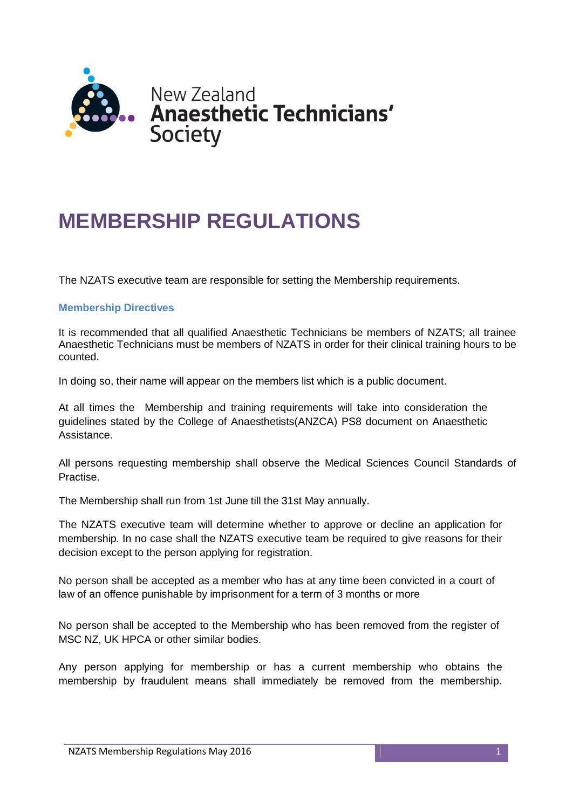

# **MEMBERSHIP REGULATIONS**

The NZATS executive team are responsible for setting the Membership requirements.

## **Membership Directives**

It is recommended that all qualified Anaesthetic Technicians be members of NZATS; all trainee Anaesthetic Technicians must be members of NZATS in order for their clinical training hours to be counted.

In doing so, their name will appear on the members list which is a public document.

At all times the Membership and training requirements will take into consideration the guidelines stated by the College of Anaesthetists(ANZCA) PS8 document on Anaesthetic Assistance.

All persons requesting membership shall observe the Medical Sciences Council Standards of Practise.

The Membership shall run from 1st June till the 31st May annually.

The NZATS executive team will determine whether to approve or decline an application for membership. In no case shall the NZATS executive team be required to give reasons for their decision except to the person applying for registration.

No person shall be accepted as a member who has at any time been convicted in a court of law of an offence punishable by imprisonment for a term of 3 months or more

No person shall be accepted to the Membership who has been removed from the register of MSC NZ, UK HPCA or other similar bodies.

Any person applying for membership or has a current membership who obtains the membership by fraudulent means shall immediately be removed from the membership.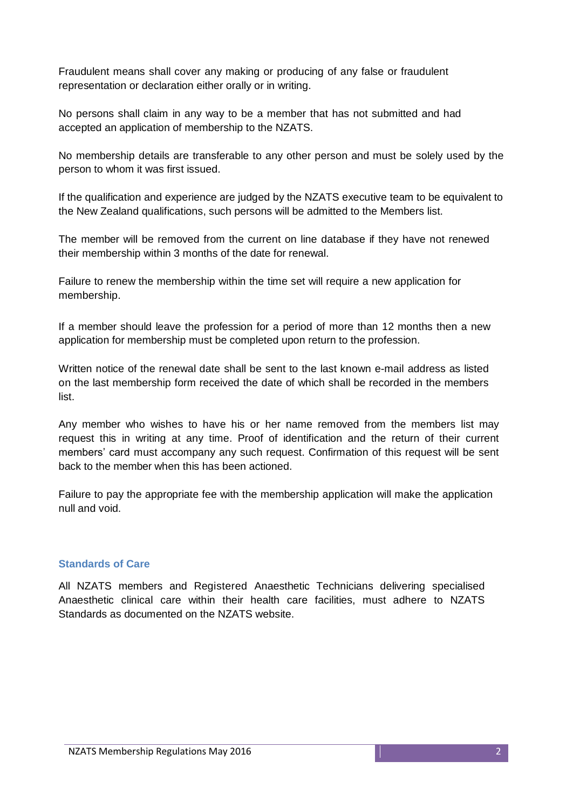Fraudulent means shall cover any making or producing of any false or fraudulent representation or declaration either orally or in writing.

No persons shall claim in any way to be a member that has not submitted and had accepted an application of membership to the NZATS.

No membership details are transferable to any other person and must be solely used by the person to whom it was first issued.

If the qualification and experience are judged by the NZATS executive team to be equivalent to the New Zealand qualifications, such persons will be admitted to the Members list.

The member will be removed from the current on line database if they have not renewed their membership within 3 months of the date for renewal.

Failure to renew the membership within the time set will require a new application for membership.

If a member should leave the profession for a period of more than 12 months then a new application for membership must be completed upon return to the profession.

Written notice of the renewal date shall be sent to the last known e-mail address as listed on the last membership form received the date of which shall be recorded in the members list.

Any member who wishes to have his or her name removed from the members list may request this in writing at any time. Proof of identification and the return of their current members' card must accompany any such request. Confirmation of this request will be sent back to the member when this has been actioned.

Failure to pay the appropriate fee with the membership application will make the application null and void.

## **Standards of Care**

All NZATS members and Registered Anaesthetic Technicians delivering specialised Anaesthetic clinical care within their health care facilities, must adhere to NZATS Standards as documented on the NZATS website.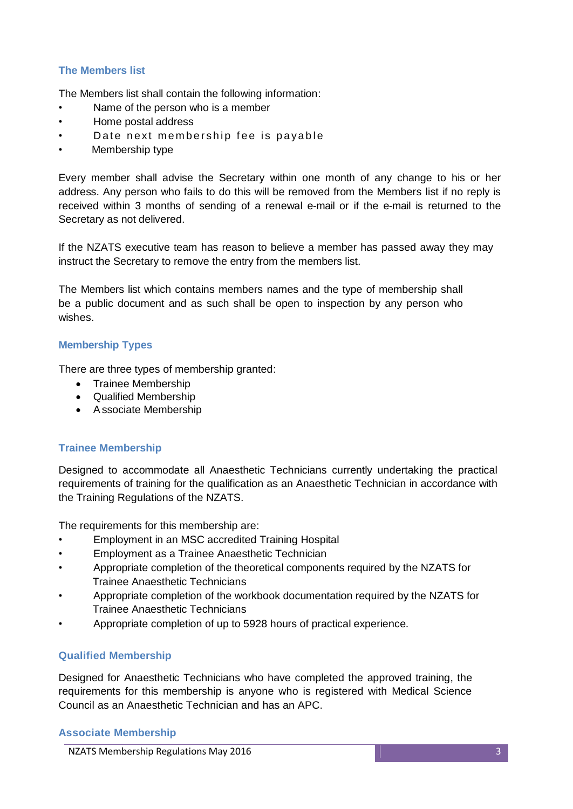# **The Members list**

The Members list shall contain the following information:

- Name of the person who is a member
- Home postal address
- Date next membership fee is payable
- Membership type

Every member shall advise the Secretary within one month of any change to his or her address. Any person who fails to do this will be removed from the Members list if no reply is received within 3 months of sending of a renewal e-mail or if the e-mail is returned to the Secretary as not delivered.

If the NZATS executive team has reason to believe a member has passed away they may instruct the Secretary to remove the entry from the members list.

The Members list which contains members names and the type of membership shall be a public document and as such shall be open to inspection by any person who wishes.

## **Membership Types**

There are three types of membership granted:

- Trainee Membership
- Qualified Membership
- Associate Membership

## **Trainee Membership**

Designed to accommodate all Anaesthetic Technicians currently undertaking the practical requirements of training for the qualification as an Anaesthetic Technician in accordance with the Training Regulations of the NZATS.

The requirements for this membership are:

- Employment in an MSC accredited Training Hospital
- Employment as a Trainee Anaesthetic Technician
- Appropriate completion of the theoretical components required by the NZATS for Trainee Anaesthetic Technicians
- Appropriate completion of the workbook documentation required by the NZATS for Trainee Anaesthetic Technicians
- Appropriate completion of up to 5928 hours of practical experience.

## **Qualified Membership**

Designed for Anaesthetic Technicians who have completed the approved training, the requirements for this membership is anyone who is registered with Medical Science Council as an Anaesthetic Technician and has an APC.

#### **Associate Membership**